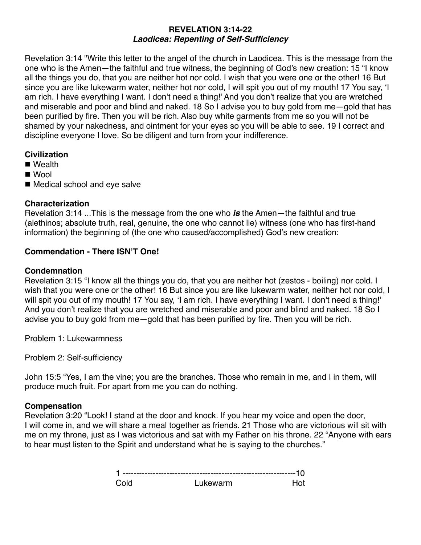#### **REVELATION 3:14-22**  *Laodicea: Repenting of Self-Sufficiency*

Revelation 3:14 "Write this letter to the angel of the church in Laodicea. This is the message from the one who is the Amen—the faithful and true witness, the beginning of God's new creation: 15 "I know all the things you do, that you are neither hot nor cold. I wish that you were one or the other! 16 But since you are like lukewarm water, neither hot nor cold, I will spit you out of my mouth! 17 You say, 'I am rich. I have everything I want. I don't need a thing!' And you don't realize that you are wretched and miserable and poor and blind and naked. 18 So I advise you to buy gold from me—gold that has been purified by fire. Then you will be rich. Also buy white garments from me so you will not be shamed by your nakedness, and ointment for your eyes so you will be able to see. 19 I correct and discipline everyone I love. So be diligent and turn from your indifference.

# **Civilization**

- Wealth
- Wool
- Medical school and eye salve

## **Characterization**

Revelation 3:14 ...This is the message from the one who *is* the Amen—the faithful and true (alethinos; absolute truth, real, genuine, the one who cannot lie) witness (one who has first-hand information) the beginning of (the one who caused/accomplished) God's new creation:

# **Commendation - There ISN'T One!**

### **Condemnation**

Revelation 3:15 "I know all the things you do, that you are neither hot (zestos - boiling) nor cold. I wish that you were one or the other! 16 But since you are like lukewarm water, neither hot nor cold, I will spit you out of my mouth! 17 You say, 'I am rich. I have everything I want. I don't need a thing!' And you don't realize that you are wretched and miserable and poor and blind and naked. 18 So I advise you to buy gold from me—gold that has been purified by fire. Then you will be rich.

Problem 1: Lukewarmness

Problem 2: Self-sufficiency

John 15:5 "Yes, I am the vine; you are the branches. Those who remain in me, and I in them, will produce much fruit. For apart from me you can do nothing.

# **Compensation**

Revelation 3:20 "Look! I stand at the door and knock. If you hear my voice and open the door, I will come in, and we will share a meal together as friends. 21 Those who are victorious will sit with me on my throne, just as I was victorious and sat with my Father on his throne. 22 "Anyone with ears to hear must listen to the Spirit and understand what he is saying to the churches."

| Cold | Lukewarm | Hot |
|------|----------|-----|